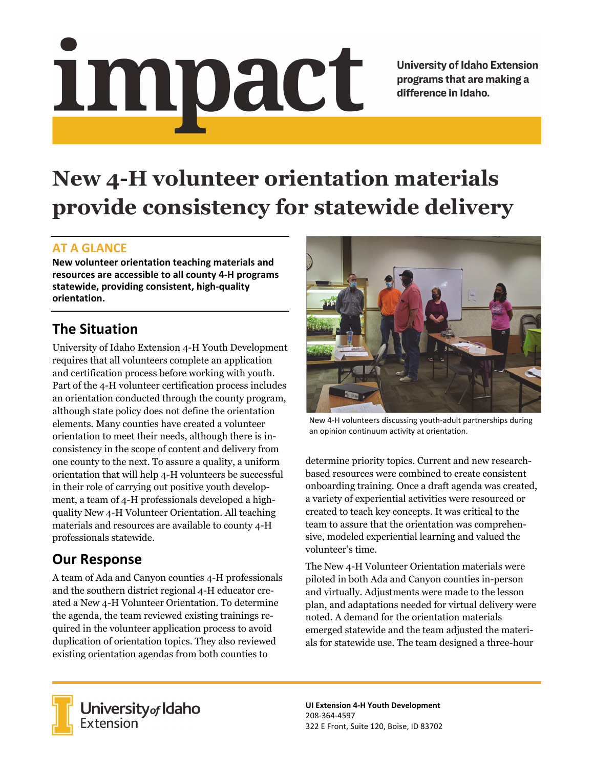# <u>impact</u>

**University of Idaho Extension** programs that are making a difference in Idaho.

# **New 4-H volunteer orientation materials provide consistency for statewide delivery**

### **AT A GLANCE**

**New volunteer orientation teaching materials and resources are accessible to all county 4‐H programs statewide, providing consistent, high‐quality orientation.**

# **The Situation**

University of Idaho Extension 4-H Youth Development requires that all volunteers complete an application and certification process before working with youth. Part of the 4-H volunteer certification process includes an orientation conducted through the county program, although state policy does not define the orientation elements. Many counties have created a volunteer orientation to meet their needs, although there is inconsistency in the scope of content and delivery from one county to the next. To assure a quality, a uniform orientation that will help 4-H volunteers be successful in their role of carrying out positive youth development, a team of 4-H professionals developed a highquality New 4-H Volunteer Orientation. All teaching materials and resources are available to county 4-H professionals statewide.

# **Our Response**

A team of Ada and Canyon counties 4-H professionals and the southern district regional 4-H educator created a New 4-H Volunteer Orientation. To determine the agenda, the team reviewed existing trainings required in the volunteer application process to avoid duplication of orientation topics. They also reviewed existing orientation agendas from both counties to



New 4‐H volunteers discussing youth‐adult partnerships during an opinion continuum activity at orientation.

determine priority topics. Current and new researchbased resources were combined to create consistent onboarding training. Once a draft agenda was created, a variety of experiential activities were resourced or created to teach key concepts. It was critical to the team to assure that the orientation was comprehensive, modeled experiential learning and valued the volunteer's time.

The New 4-H Volunteer Orientation materials were piloted in both Ada and Canyon counties in-person and virtually. Adjustments were made to the lesson plan, and adaptations needed for virtual delivery were noted. A demand for the orientation materials emerged statewide and the team adjusted the materials for statewide use. The team designed a three-hour



**University<sub>of</sub> Idaho**<br>Extension

**UI Extension 4‐H Youth Development** 208‐364‐4597 322 E Front, Suite 120, Boise, ID 83702